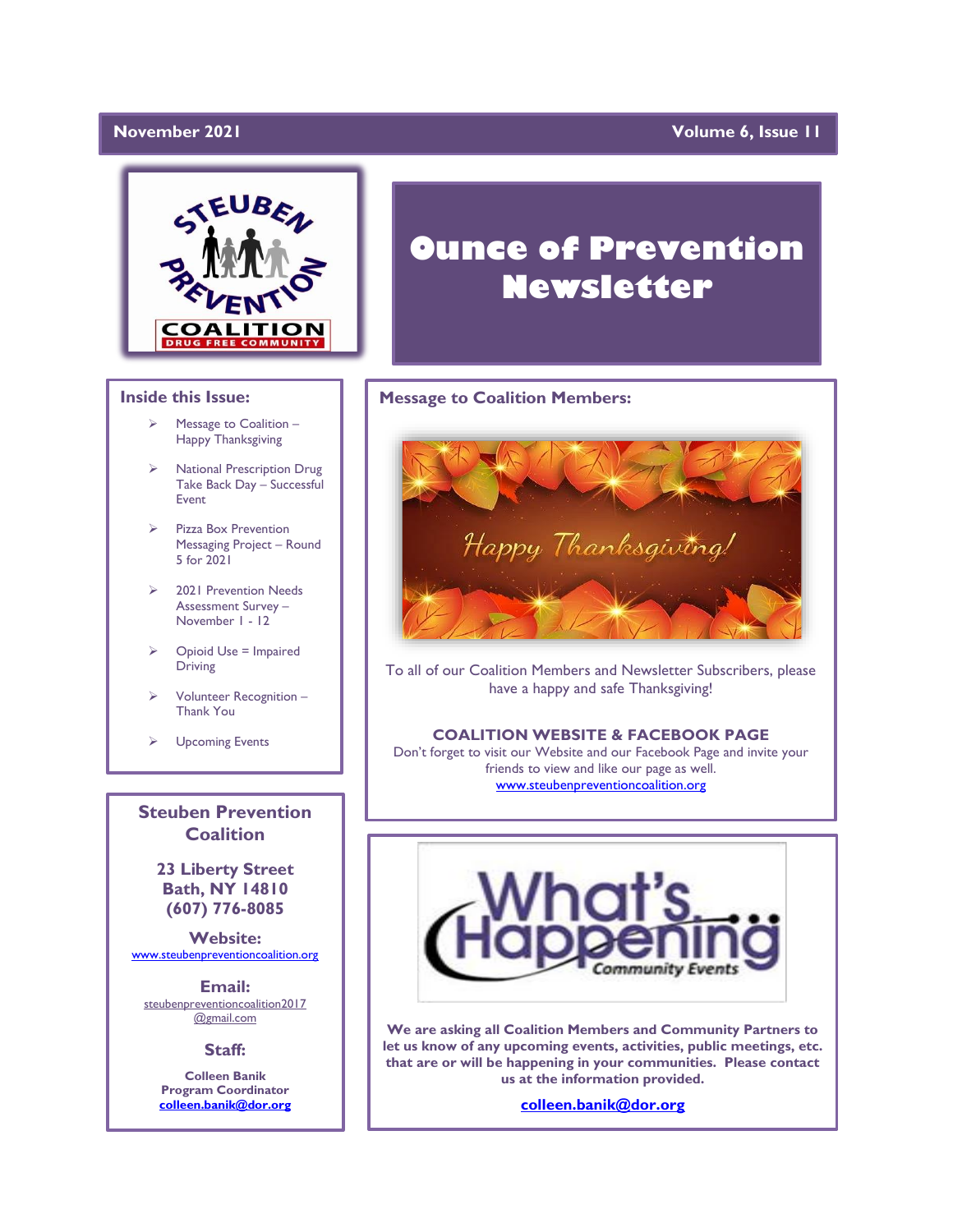#### **November 2021**

#### **Yolume 6, Issue 11**



#### **Inside this Issue:**

- ➢ Message to Coalition Happy Thanksgiving
- ➢ National Prescription Drug Take Back Day – Successful Event
- Pizza Box Prevention Messaging Project – Round 5 for 2021
- ➢ 2021 Prevention Needs Assessment Survey – November 1 - 12
- $\triangleright$  Opioid Use = Impaired Driving
- Volunteer Recognition -Thank You
- ➢ Upcoming Events

**Steuben Prevention Coalition**

**23 Liberty Street Bath, NY 14810 (607) 776-8085**

**Website:**  [www.steubenpreventioncoalition.org](http://www.steubenpreventioncoalition.org/)

**Email:**  steubenpreventioncoalition2017 @gmail.com

**Staff:**

**Colleen Banik Program Coordinator [colleen.banik@dor.org](mailto:colleen.banik@dor.org)**

# **Ounce of Prevention Newsletter**

#### **Message to Coalition Members:**



To all of our Coalition Members and Newsletter Subscribers, please have a happy and safe Thanksgiving!

#### **COALITION WEBSITE & FACEBOOK PAGE**

Don't forget to visit our Website and our Facebook Page and invite your friends to view and like our page as well. [www.steubenpreventioncoalition.org](http://www.steubenpreventioncoalition.org/)



**We are asking all Coalition Members and Community Partners to let us know of any upcoming events, activities, public meetings, etc. that are or will be happening in your communities. Please contact us at the information provided.**

**[colleen.banik@dor.org](mailto:colleen.banik@dor.org)**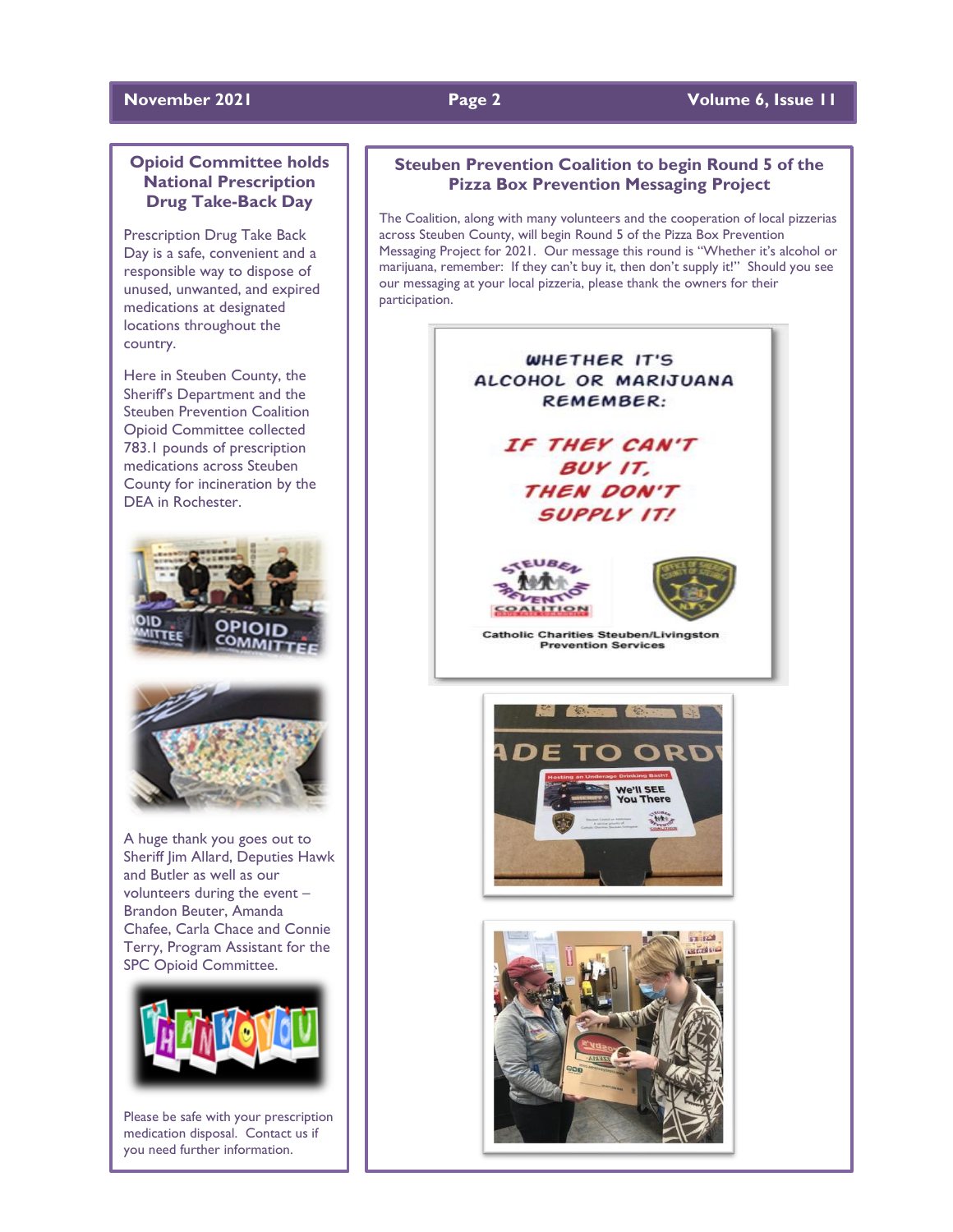#### **November 2021 Page 2 Volume 6, Issue 11**

### **Opioid Committee holds National Prescription Drug Take-Back Day**

Prescription Drug Take Back Day is a safe, convenient and a responsible way to dispose of unused, unwanted, and expired medications at designated locations throughout the country.

Here in Steuben County, the Sheriff's Department and the Steuben Prevention Coalition Opioid Committee collected 783.1 pounds of prescription medications across Steuben County for incineration by the DEA in Rochester.



A huge thank you goes out to Sheriff Jim Allard, Deputies Hawk and Butler as well as our volunteers during the event – Brandon Beuter, Amanda Chafee, Carla Chace and Connie Terry, Program Assistant for the SPC Opioid Committee.



Please be safe with your prescription medication disposal. Contact us if you need further information.

### **Steuben Prevention Coalition to begin Round 5 of the Pizza Box Prevention Messaging Project**

The Coalition, along with many volunteers and the cooperation of local pizzerias across Steuben County, will begin Round 5 of the Pizza Box Prevention Messaging Project for 2021. Our message this round is "Whether it's alcohol or marijuana, remember: If they can't buy it, then don't supply it!" Should you see our messaging at your local pizzeria, please thank the owners for their participation.

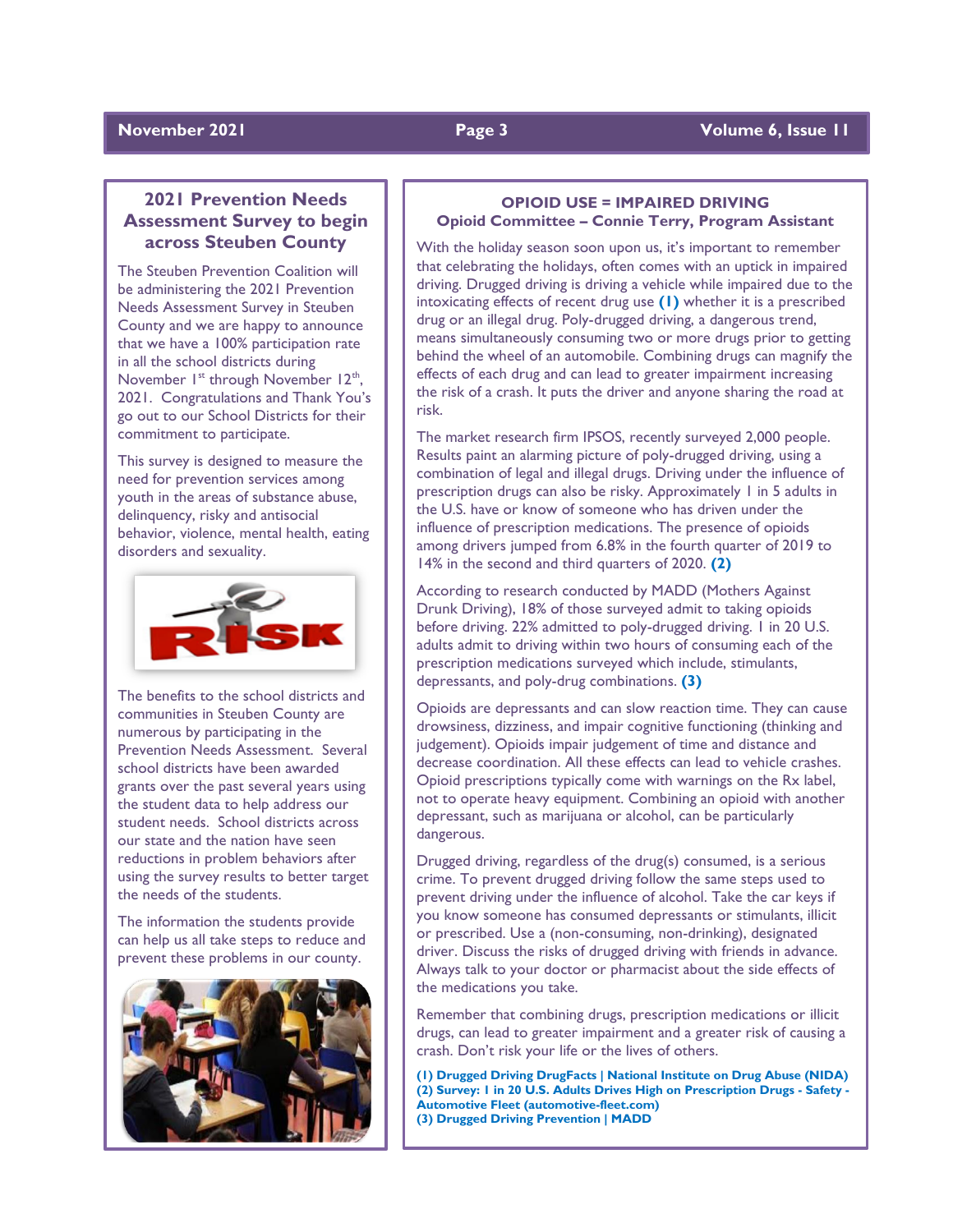### **November 2021 Page 3** Volume 6, Issue 11

### **2021 Prevention Needs Assessment Survey to begin across Steuben County**

The Steuben Prevention Coalition will be administering the 2021 Prevention Needs Assessment Survey in Steuben County and we are happy to announce that we have a 100% participation rate in all the school districts during November  $I^{st}$  through November  $12^{th}$ , 2021. Congratulations and Thank You's go out to our School Districts for their commitment to participate.

This survey is designed to measure the need for prevention services among youth in the areas of substance abuse, delinquency, risky and antisocial behavior, violence, mental health, eating disorders and sexuality.



The benefits to the school districts and communities in Steuben County are numerous by participating in the Prevention Needs Assessment. Several school districts have been awarded grants over the past several years using the student data to help address our student needs. School districts across our state and the nation have seen reductions in problem behaviors after using the survey results to better target the needs of the students.

The information the students provide can help us all take steps to reduce and prevent these problems in our county.



#### **OPIOID USE = IMPAIRED DRIVING Opioid Committee – Connie Terry, Program Assistant**

With the holiday season soon upon us, it's important to remember that celebrating the holidays, often comes with an uptick in impaired driving. Drugged driving is driving a vehicle while impaired due to the intoxicating effects of recent drug use **(1)** whether it is a prescribed drug or an illegal drug. Poly-drugged driving, a dangerous trend, means simultaneously consuming two or more drugs prior to getting behind the wheel of an automobile. Combining drugs can magnify the effects of each drug and can lead to greater impairment increasing the risk of a crash. It puts the driver and anyone sharing the road at risk.

The market research firm IPSOS, recently surveyed 2,000 people. Results paint an alarming picture of poly-drugged driving, using a combination of legal and illegal drugs. Driving under the influence of prescription drugs can also be risky. Approximately 1 in 5 adults in the U.S. have or know of someone who has driven under the influence of prescription medications. The presence of opioids among drivers jumped from 6.8% in the fourth quarter of 2019 to 14% in the second and third quarters of 2020. **(2)**

According to research conducted by MADD (Mothers Against Drunk Driving), 18% of those surveyed admit to taking opioids before driving. 22% admitted to poly-drugged driving. 1 in 20 U.S. adults admit to driving within two hours of consuming each of the prescription medications surveyed which include, stimulants, depressants, and poly-drug combinations. **(3)**

Opioids are depressants and can slow reaction time. They can cause drowsiness, dizziness, and impair cognitive functioning (thinking and judgement). Opioids impair judgement of time and distance and decrease coordination. All these effects can lead to vehicle crashes. Opioid prescriptions typically come with warnings on the Rx label, not to operate heavy equipment. Combining an opioid with another depressant, such as marijuana or alcohol, can be particularly dangerous.

Drugged driving, regardless of the drug(s) consumed, is a serious crime. To prevent drugged driving follow the same steps used to prevent driving under the influence of alcohol. Take the car keys if you know someone has consumed depressants or stimulants, illicit or prescribed. Use a (non-consuming, non-drinking), designated driver. Discuss the risks of drugged driving with friends in advance. Always talk to your doctor or pharmacist about the side effects of the medications you take.

Remember that combining drugs, prescription medications or illicit drugs, can lead to greater impairment and a greater risk of causing a crash. Don't risk your life or the lives of others.

**(1) Drugged Driving DrugFacts | National Institute on Drug Abuse (NIDA) (2) Survey: 1 in 20 U.S. Adults Drives High on Prescription Drugs - Safety - Automotive Fleet (automotive-fleet.com) (3) Drugged Driving Prevention | MADD**